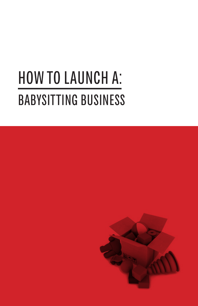# HOW TO LAUNCH A: BABYSITTING BUSINESS

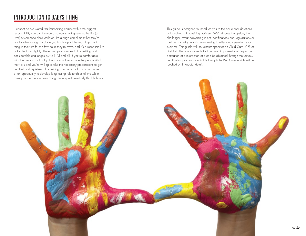### INTRODUCTION TO BABYSITTING

It cannot be overstated that babysitting carries with it the biggest responsibility you can take on as a young entrepreneur; the life (or lives) of someone else's children. It's a huge compliment that they're comfortable enough to place you in charge of the most important thing in their life for the few hours they're away and it's a responsibility not to be taken lightly. There are great upsides to babysitting and considerable challenges as well. All and all, if you're comfortable with the demands of babysitting, you naturally have the personality for the work and you're willing to take the necessary preparations to get certified and registered, babysitting can be less of a job and more of an opportunity to develop long lasting relationships all the while making some great money along the way with relatively flexible hours.

This guide is designed to introduce you to the basic considerations of launching a babysitting business. We'll discuss the upside, the challenges, what babysitting is not, certifications and registrations as well as marketing efforts, interviewing families and operating your business. This guide will not discuss specifics on Child Care, CPR or First Aid. These are subjects that demand in professional, in-person education and interaction and can be obtained through the various certification programs available through the Red Cross which will be touched on in greater detail.

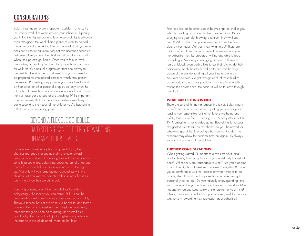### CONSIDERATIONS

Babysitting has some pretty apparent upsides. For one, it's the type of work that works around your schedule. Typically you'll find the highest demand is on weekend nights although even throughout the week there's plenty of work to be had. If you prefer not to work too late on the weeknights you may consider a shorter but more frequent mid-afternoon schedule between when you and the children get out of school until when their parents get home. Once you're familiar with the routine, babysitting can be a fairly straight forward job as well; there's a natural progression from one activity to the next that the kids are accustomed to – you just need to be prepared for unexpected situations which may present themselves. Babysitting may provide you some time to work on homework or other personal projects but only when the job at hand presents an appropriate window of time – say if the kids have gone to bed or are watching TV. It's important to note however that any personal activities must always come second to the needs of the children you're babysitting – that's why you're getting paid.

### Beyond a flexi ble schedule,  $\mathcal{D}(\mathcal{D})$  and  $\mathcal{D}(\mathcal{D})$  and  $\mathcal{D}(\mathcal{D})$  and  $\mathcal{D}(\mathcal{D})$  and  $\mathcal{D}(\mathcal{D})$ a bysitting can be deeply rewarding on many other levels.

If you're even considering this as a potential job, the chances are good that you naturally gravitate toward being around children. If spending time with kids is already something you enjoy, babysitting becomes less of a job and more of a way to help kids develop and watch them grow up. Not only will you forge lasting relationships with the children but also with the parents and these are oftentimes worth more than their weight in gold.

Speaking of gold, one of the most obvious benefits to babysitting is the money you can make. Still, it can't be overstated that with great money comes great responsibility. There's a reason that not everyone is a babysitter and there's a reason that good babysitters are in high demand. And, there are things you can do to distinguish yourself as a good babysitter that will both justify higher hourly rates and increase your overall demand. More on that later.

First, let's look at the other side of babysitting; the challenges, what babysitting is not, and further considerations. Picture a crying two year old throwing a tantrum. How will you react? What if the child you're watching closes the front door on her finger. Will you know what to do? There are millions of situations that may present themselves and you as the babysitter must be prepared, willing and able to react accordingly. Not every challenging situation will involve tears or blood, even getting kids to eat their dinner, do their homework, brush their teeth and go to bed can be huge accomplishments demanding all your time and energy. Your aim however is to get through each of these hurdles as naturally and easily as possible. The more in tune with a routine the children are, the easier it will be to move through the night.

#### **What babysitting is not**

There are several things that babysitting is not. Babysitting is a profession in which someone is putting you in charge and leaving you responsible for their children's wellbeing and safety; that is your focus – nothing else. A babysitter is not the TV. A babysitter is not a video game. Babysitting is not your designated time to talk on the phone, do your homework or otherwise spend the time doing what you want to do. The schedule may allow for personal time but again, it's always second to the needs of the children.

### **Further Considerations**

When getting started it's important to evaluate your initial comfort levels; how many kids can you realistically babysit at once? What hours are reasonable to work? Are you prepared to sacrifice nights and weekends to spend babysitting? Once you're comfortable with the realities of what it means to be a babysitter, it's worth making sure that you have the right personality for the job. Do you naturally enjoy spending time with children? Are you mature, punctual and trustworthy? Most importantly, do you keep safety at the forefront of your mind? Check, check and check? Then you may very well be on your way to very rewarding new profession as a babysitter!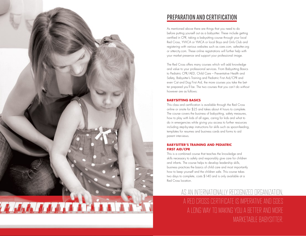

## Preparation and Certification

As mentioned above there are things that you need to do before putting yourself out as a babysitter. These include getting certified in CPR, taking a babysitting course through your local Red Cross, YWCA or YMCA or local Boys and Girls Club and registering with various websites such as care.com, safesitter.org or sittercity.com. These online registrations will further help with your market presence and support your professional image.

The Red Cross offers many courses which will add knowledge and value to your professional services. From Babysitting Basics to Pediatric CPR/AED, Child Care – Preventative Health and Safety, Babysitter's Training and Pediatric First Aid/CPR and even Cat and Dog First Aid, the more courses you take the better prepared you'll be. The two courses that you can't do without however are as follows:

### **Babysitting Basics**

This class and certification is available through the Red Cross online or onsite for \$25 and takes about 4 hours to complete. The course covers the business of babysitting, safety measures, how to play with kids of all ages, caring for kids and what to do in emergencies while giving you access to further resources including step-by-step instructions for skills such as spoon-feeding, templates for resumes and business cards and forms to aid parent interviews.

### **Babysitter's Training and Pediatric First Aid/CPR**

This is a combined course that teaches the knowledge and skills necessary to safely and responsibly give care for children and infants. The course helps to develop leadership skills, business practices the basics of child care and most importantly how to keep yourself and the children safe. This course takes two days to complete, costs \$140 and is only available at a Red Cross location.

> As an internationally recognized organization, a Red Cross certificate is imperative and goes a long way to making you a better and more marketable babysitter.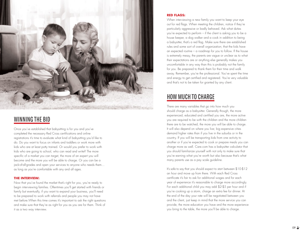

Once you've established that babysitting is for you and you've completed the necessary Red Cross certifications and online registrations it's time to evaluate what kind of babysitting you'd like to do. Do you want to focus on infants and toddlers or work more with kids who are at least potty trained. Or would you prefer to work with kids who are going to school, who can read and write? The more specific of a market you can target, the more of an expert you will become and the more you will be able to charge. Or you can be a jack-of-all-grades and open your services to anyone who needs them… as long as you're comfortable with any and all ages. WINNING THE BI<br>
Once you've established t<br>
completed the necessary if<br>
registrations it's time to eve<br>
do. Do you want to focus<br>
kids who are going to sch<br>
specific of a market you c<br>
become and the more you<br>
jack-of-all-g

### **The Interview:**

Now that you've found the market that's right for you, you're ready to begin interviewing families. Oftentimes you'll get started with friends or family but eventually, if you want to expand your business, you'll need to be prepared to work with referrals and people you may not have met before.When this time comes it's important to ask the right questions and make sure that they're as right for you as you are for them. Think of

#### **Red Flags:**

When interviewing a new family you want to keep your eye out for red flags. When meeting the children, notice if they're particularly aggressive or badly behaved. Ask what duties you're expected to perform – if the client is asking you to be a house keeper, a dog walker and a cook in addition to being a babysitter, that's a red flag. Make sure there are established rules and some sort of overall organization; that the kids have an expected routine – a roadmap for you to follow. If the house is extremely messy, the parents are vague or unclear as to what their expectations are or anything else generally makes you uncomfortable in any way than this is probably not the family for you. Be prepared to thank them for their time and walk away. Remember, you're the professional. You've spent the time and energy to get certified and registered. You're very valuable and that's not to be taken for granted by any client.

There are many variables that go into how much you should charge as a babysitter. Generally though, the more experienced, educated and certified you are, the more active you are required to be with the children and the more children there are to be watched, the more you will be able to charge. It will also depend on where you live; big expensive cities demand higher rates than if you live in the suburbs or in the country. If you will be transporting kids from one activity to another or if you're expected to cook or prepare meals you can charge more as well. Care.com has a babysitter calculator that you should familiarize yourself with not only to make sure that you're earning what you're worth but also because that's what many parents use as a pay scale guideline. HOW MUCH TO CHARGE<br>There are many variables that go into how much you<br>should charge as a babysitter. Generally though, the more<br>experienced, educated and certified you are, the more a<br>you are required to be with the childr

It's safe to say that you should expect to start between \$10-\$12 an hour and move up from there. With each Red Cross certificate it's fair to ask for additional wages and for each year of experience it's reasonable to charge more accordingly. For each additional child you may add \$2-\$5 per hour and if you're cooking up a storm, charge an extra fee for dinner. At the end of the day your rate will be negotiated between you and the client, just keep in mind that the more service you can provide, the more education you have and the more experience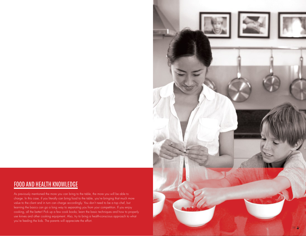### Food and Health Knowledge

As previously mentioned the more you can bring to the table, the more you will be able to charge. In this case, if you literally can bring food to the table, you're bringing that much more value to the client and in turn can charge accordingly. You don't need to be a top chef, but learning the basics can go a long way to separating you from your competition. If you enjoy cooking, all the better! Pick up a few cook books; learn the basic techniques and how to properly use knives and other cooking equipment. Also, try to bring a health-conscious approach to what you're feeding the kids. The parents will appreciate the effort.

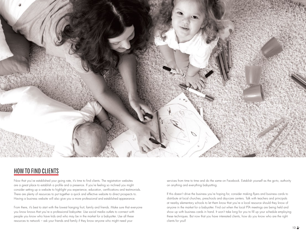

# HOW TO FIND CLIENTS

Now that you've established your going rate, it's time to find clients. The registration websites are a great place to establish a profile and a presence. If you're feeling so inclined you might consider setting up a website to highlight you experience, education, certifications and testimonials. There are plenty of resources to put together a quick and effective website to direct prospects to. Having a business website will also give you a more professional and established appearance.

From there, it's best to start with the lowest hanging fruit; family and friends. Make sure that everyone you know knows that you're a professional babysitter. Use social media outlets to connect with people you know who have kids and who may be in the market for a babysitter. Use all these resources to network – ask your friends and family if they know anyone who might need your

services from time to time and do the same on Facebook. Establish yourself as the go-to, authority on anything and everything babysitting.

If this doesn't drive the business you're hoping for, consider making flyers and business cards to distribute at local churches, preschools and day-care centers. Talk with teachers and principals at nearby elementary schools to let them know that you're a local resource should they know of anyone in the market for a babysitter. Find out when the local PTA meetings are being held and show up with business cards in hand. It won't take long for you to fill up your schedule employing these techniques. But now that you have interested clients, how do you know who are the right clients for you?